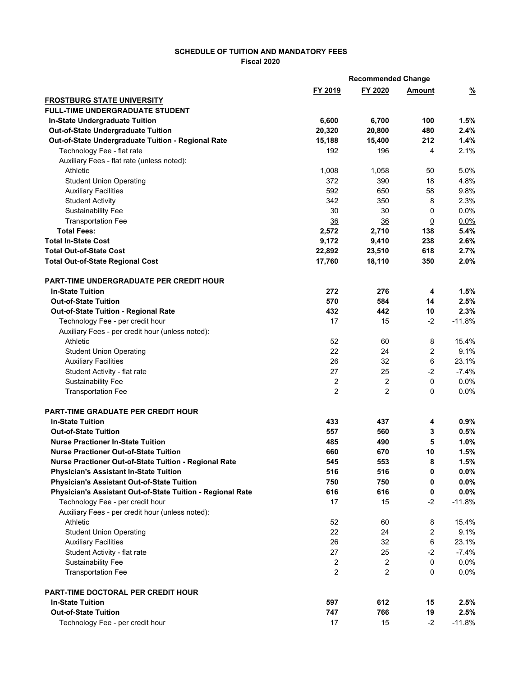## **SCHEDULE OF TUITION AND MANDATORY FEES Fiscal 2020**

|                                                                   |                | <b>Recommended Change</b> |                |               |
|-------------------------------------------------------------------|----------------|---------------------------|----------------|---------------|
|                                                                   | FY 2019        | FY 2020                   | Amount         | $\frac{9}{6}$ |
| <b>FROSTBURG STATE UNIVERSITY</b>                                 |                |                           |                |               |
| <b>FULL-TIME UNDERGRADUATE STUDENT</b>                            |                |                           |                |               |
| In-State Undergraduate Tuition                                    | 6,600          | 6,700                     | 100            | 1.5%          |
| Out-of-State Undergraduate Tuition                                | 20,320         | 20,800                    | 480            | 2.4%          |
| Out-of-State Undergraduate Tuition - Regional Rate                | 15,188         | 15,400                    | 212            | 1.4%          |
| Technology Fee - flat rate                                        | 192            | 196                       | 4              | 2.1%          |
| Auxiliary Fees - flat rate (unless noted):                        |                |                           |                |               |
| Athletic                                                          | 1,008          | 1,058                     | 50             | 5.0%          |
| <b>Student Union Operating</b>                                    | 372            | 390                       | 18             | 4.8%          |
| <b>Auxiliary Facilities</b>                                       | 592            | 650                       | 58             | 9.8%          |
| <b>Student Activity</b>                                           | 342            | 350                       | 8              | 2.3%          |
| <b>Sustainability Fee</b>                                         | 30             | 30                        | 0              | 0.0%          |
| <b>Transportation Fee</b>                                         | 36             | 36                        | $\overline{0}$ | 0.0%          |
| <b>Total Fees:</b>                                                | 2,572          | 2,710                     | 138            | 5.4%          |
| <b>Total In-State Cost</b>                                        | 9,172          | 9,410                     | 238            | 2.6%          |
| <b>Total Out-of-State Cost</b>                                    | 22,892         | 23,510                    | 618            | 2.7%          |
| <b>Total Out-of-State Regional Cost</b>                           | 17,760         | 18,110                    | 350            | 2.0%          |
| <b>PART-TIME UNDERGRADUATE PER CREDIT HOUR</b>                    |                |                           |                |               |
| <b>In-State Tuition</b>                                           | 272            | 276                       | 4              | 1.5%          |
| <b>Out-of-State Tuition</b>                                       | 570            | 584                       | 14             | 2.5%          |
| Out-of-State Tuition - Regional Rate                              | 432            | 442                       | 10             | 2.3%          |
| Technology Fee - per credit hour                                  | 17             | 15                        | $-2$           | $-11.8%$      |
| Auxiliary Fees - per credit hour (unless noted):                  |                |                           |                |               |
| Athletic                                                          | 52             | 60                        | 8              | 15.4%         |
| <b>Student Union Operating</b>                                    | 22             | 24                        | 2              | 9.1%          |
| <b>Auxiliary Facilities</b>                                       | 26             | 32                        | 6              | 23.1%         |
| Student Activity - flat rate                                      | 27             | 25                        | $-2$           | $-7.4%$       |
| <b>Sustainability Fee</b>                                         | 2              | 2                         | 0              | 0.0%          |
| <b>Transportation Fee</b>                                         | 2              | $\overline{2}$            | 0              | 0.0%          |
|                                                                   |                |                           |                |               |
| <b>PART-TIME GRADUATE PER CREDIT HOUR</b>                         |                |                           |                |               |
| <b>In-State Tuition</b>                                           | 433            | 437                       | 4              | 0.9%          |
| <b>Out-of-State Tuition</b>                                       | 557            | 560                       | 3              | 0.5%          |
| <b>Nurse Practioner In-State Tuition</b>                          | 485            | 490                       | 5              | 1.0%          |
| Nurse Practioner Out-of-State Tuition                             | 660            | 670                       | 10             | 1.5%          |
| Nurse Practioner Out-of-State Tuition - Regional Rate             | 545            | 553                       | 8              | 1.5%          |
| <b>Physician's Assistant In-State Tuition</b>                     | 516            | 516                       | 0              | $0.0\%$       |
| <b>Physician's Assistant Out-of-State Tuition</b>                 | 750            | 750                       | 0              | $0.0\%$       |
| <b>Physician's Assistant Out-of-State Tuition - Regional Rate</b> | 616            | 616                       | 0              | $0.0\%$       |
| Technology Fee - per credit hour                                  | 17             | 15                        | $-2$           | $-11.8%$      |
| Auxiliary Fees - per credit hour (unless noted):                  |                |                           |                |               |
| Athletic                                                          | 52             | 60                        | 8              | 15.4%         |
| <b>Student Union Operating</b>                                    | 22             | 24                        | 2              | 9.1%          |
| <b>Auxiliary Facilities</b>                                       | 26             | 32                        | 6              | 23.1%         |
| Student Activity - flat rate                                      | 27             | 25                        | $-2$           | $-7.4%$       |
| <b>Sustainability Fee</b>                                         | $\overline{c}$ | $\overline{2}$            | 0              | 0.0%          |
| <b>Transportation Fee</b>                                         | $\overline{c}$ | 2                         | 0              | 0.0%          |
| <b>PART-TIME DOCTORAL PER CREDIT HOUR</b>                         |                |                           |                |               |
| <b>In-State Tuition</b>                                           | 597            | 612                       | 15             | 2.5%          |
| <b>Out-of-State Tuition</b>                                       | 747            | 766                       | 19             | 2.5%          |
| Technology Fee - per credit hour                                  | 17             | 15                        | $-2$           | $-11.8%$      |